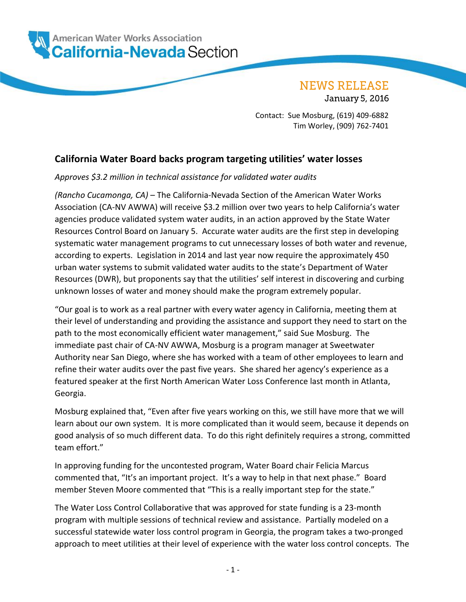

**NEWS RELEASE** 

**January 5, 2016** 

Contact: Sue Mosburg, (619) 409-6882 Tim Worley, (909) 762-7401

## **California Water Board backs program targeting utilities' water losses**

## *Approves \$3.2 million in technical assistance for validated water audits*

*(Rancho Cucamonga, CA) –* The California-Nevada Section of the American Water Works Association (CA-NV AWWA) will receive \$3.2 million over two years to help California's water agencies produce validated system water audits, in an action approved by the State Water Resources Control Board on January 5. Accurate water audits are the first step in developing systematic water management programs to cut unnecessary losses of both water and revenue, according to experts. Legislation in 2014 and last year now require the approximately 450 urban water systems to submit validated water audits to the state's Department of Water Resources (DWR), but proponents say that the utilities' self interest in discovering and curbing unknown losses of water and money should make the program extremely popular.

"Our goal is to work as a real partner with every water agency in California, meeting them at their level of understanding and providing the assistance and support they need to start on the path to the most economically efficient water management," said Sue Mosburg. The immediate past chair of CA-NV AWWA, Mosburg is a program manager at Sweetwater Authority near San Diego, where she has worked with a team of other employees to learn and refine their water audits over the past five years. She shared her agency's experience as a featured speaker at the first North American Water Loss Conference last month in Atlanta, Georgia.

Mosburg explained that, "Even after five years working on this, we still have more that we will learn about our own system. It is more complicated than it would seem, because it depends on good analysis of so much different data. To do this right definitely requires a strong, committed team effort."

In approving funding for the uncontested program, Water Board chair Felicia Marcus commented that, "It's an important project. It's a way to help in that next phase." Board member Steven Moore commented that "This is a really important step for the state."

The Water Loss Control Collaborative that was approved for state funding is a 23-month program with multiple sessions of technical review and assistance. Partially modeled on a successful statewide water loss control program in Georgia, the program takes a two-pronged approach to meet utilities at their level of experience with the water loss control concepts. The